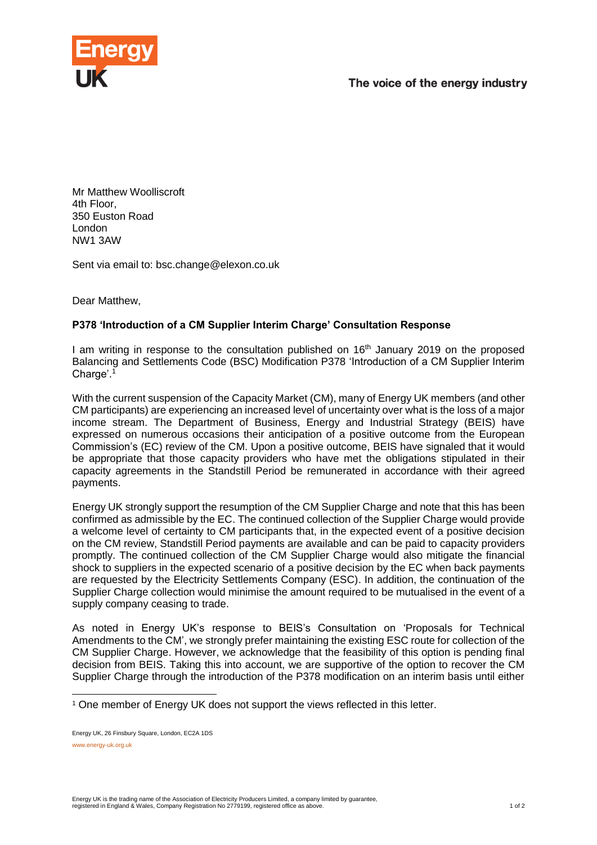



Mr Matthew Woolliscroft 4th Floor, 350 Euston Road London NW1 3AW

Sent via email to: bsc.change@elexon.co.uk

Dear Matthew,

## **P378 'Introduction of a CM Supplier Interim Charge' Consultation Response**

I am writing in response to the consultation published on 16<sup>th</sup> January 2019 on the proposed Balancing and Settlements Code (BSC) Modification P378 'Introduction of a CM Supplier Interim Charge'. 1

With the current suspension of the Capacity Market (CM), many of Energy UK members (and other CM participants) are experiencing an increased level of uncertainty over what is the loss of a major income stream. The Department of Business, Energy and Industrial Strategy (BEIS) have expressed on numerous occasions their anticipation of a positive outcome from the European Commission's (EC) review of the CM. Upon a positive outcome, BEIS have signaled that it would be appropriate that those capacity providers who have met the obligations stipulated in their capacity agreements in the Standstill Period be remunerated in accordance with their agreed payments.

Energy UK strongly support the resumption of the CM Supplier Charge and note that this has been confirmed as admissible by the EC. The continued collection of the Supplier Charge would provide a welcome level of certainty to CM participants that, in the expected event of a positive decision on the CM review, Standstill Period payments are available and can be paid to capacity providers promptly. The continued collection of the CM Supplier Charge would also mitigate the financial shock to suppliers in the expected scenario of a positive decision by the EC when back payments are requested by the Electricity Settlements Company (ESC). In addition, the continuation of the Supplier Charge collection would minimise the amount required to be mutualised in the event of a supply company ceasing to trade.

As noted in Energy UK's response to BEIS's Consultation on 'Proposals for Technical Amendments to the CM', we strongly prefer maintaining the existing ESC route for collection of the CM Supplier Charge. However, we acknowledge that the feasibility of this option is pending final decision from BEIS. Taking this into account, we are supportive of the option to recover the CM Supplier Charge through the introduction of the P378 modification on an interim basis until either

-

<sup>1</sup> One member of Energy UK does not support the views reflected in this letter.

Energy UK, 26 Finsbury Square, London, EC2A 1DS www.energy-uk.org.uk